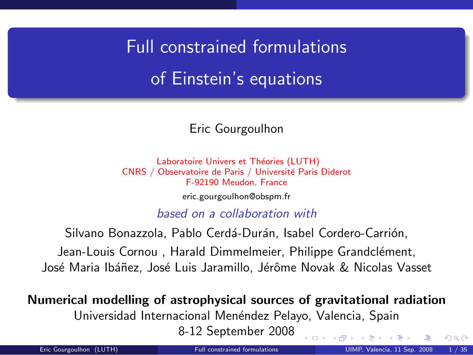<span id="page-0-1"></span>Full constrained formulations of Einstein's equations

#### Eric Gourgoulhon

Laboratoire Univers et Théories (LUTH) CNRS / Observatoire de Paris / Universit´e Paris Diderot F-92190 Meudon, France

<span id="page-0-0"></span>[eric.gourgoulhon@obspm.fr](mailto:eric.gourgoulhon@obspm.fr)

based on a collaboration with

Silvano Bonazzola, Pablo Cerdá-Durán, Isabel Cordero-Carrión,

Jean-Louis Cornou, Harald Dimmelmeier, Philippe Grandclément, José Maria Ibáñez, José Luis Jaramillo, Jérôme Novak & Nicolas Vasset

Numerical modelling of astrophysical sources of gravitational radiation Universidad Internacional Menéndez Pelayo, Valencia, Spain 8-12 September 2008  $\leftarrow$   $\Box$   $\rightarrow$   $\leftarrow$   $\Box$   $\rightarrow$  $\Omega$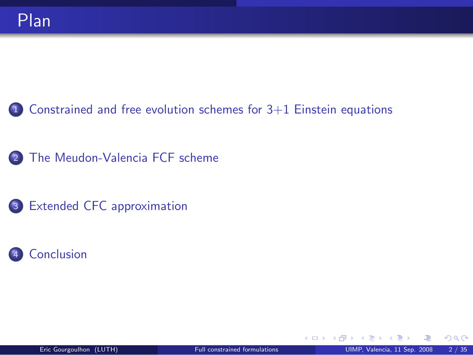<sup>1</sup> [Constrained and free evolution schemes for 3+1 Einstein equations](#page-2-0)

2 [The Meudon-Valencia FCF scheme](#page-15-0)

- <sup>3</sup> [Extended CFC approximation](#page-29-0)
- **[Conclusion](#page-44-0)**

<span id="page-1-0"></span> $\Omega$ 

**←ロ ▶ ← イ 同 →**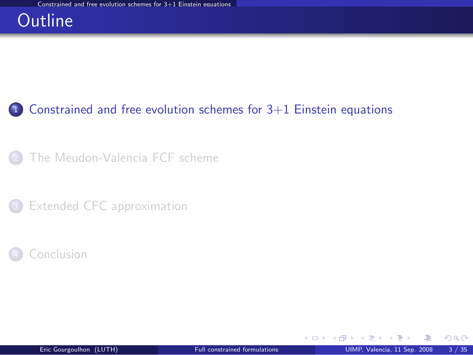### **Outline**

#### <sup>1</sup> [Constrained and free evolution schemes for 3+1 Einstein equations](#page-2-0)

[The Meudon-Valencia FCF scheme](#page-15-0)

[Extended CFC approximation](#page-29-0)



<span id="page-2-0"></span> $\Omega$ 

**K ロ ▶ K 何 ▶ K 手**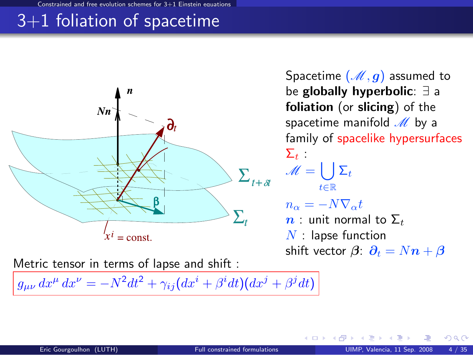Einstein equations

## 3+1 foliation of spacetime



Metric tensor in terms of lapse and shift :

 $g_{\mu\nu}\,dx^\mu\,dx^\nu = -N^2dt^2 + \gamma_{ij}(dx^i + \beta^i dt)(dx^j + \beta^j dt)$ 

Spacetime  $(\mathcal{M}, g)$  assumed to be globally hyperbolic: ∃ a foliation (or slicing) of the spacetime manifold  $M$  by a family of spacelike hypersurfaces  $\Sigma_t$  :  $\mathscr{M} = \bigcup \Sigma_t$ t∈R  $n_{\alpha} = -N \nabla_{\alpha} t$  $n:$  unit normal to  $\Sigma_t$  $N$  : lapse function shift vector  $\boldsymbol{\beta}$ :  $\boldsymbol{\partial}_t = N\boldsymbol{n} + \boldsymbol{\beta}$ 

**4 ロ ト 4 何 ト 4**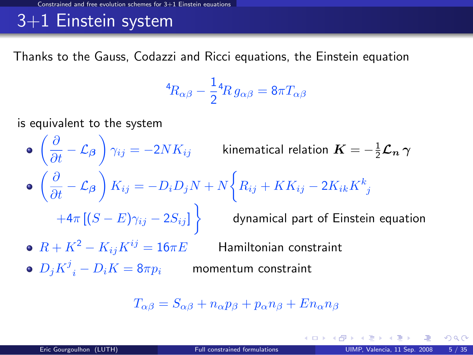#### free evolution schemes for  $3+1$  Einstein equations

## 3+1 Einstein system

Thanks to the Gauss, Codazzi and Ricci equations, the Einstein equation

$$
{}^4\!R_{\alpha\beta} - \frac{1}{2} {}^4\!R\, g_{\alpha\beta} = 8\pi T_{\alpha\beta}
$$

is equivalent to the system

 $\left(\frac{\partial}{\partial t}-\mathcal{L}_{\boldsymbol{\beta}}\right)\gamma_{ij}=-2NK_{ij}$  kinematical relation  $\boldsymbol{K}=-\frac{1}{2}\boldsymbol{\mathcal{L}_{n}}\,\boldsymbol{\gamma}$  $\left(\frac{\partial}{\partial t} - \mathcal{L}_{\beta}\right) K_{ij} = -D_i D_j N + N \bigg\{ R_{ij} + KK_{ij} - 2 K_{ik} K^k_{\ j} \bigg\}$  $+4\pi\left[(S-E)\gamma_{ij}-2S_{ij}\right]\bigg\} \qquad$  dynamical part of Einstein equation •  $R + K^2 - K_{ij}K^{ij} = 16\pi E$  Hamiltonian constraint  $D_j K^j\mathstrut_i - D_i K = 8\pi p_i$  momentum constraint

$$
T_{\alpha\beta} = S_{\alpha\beta} + n_{\alpha}p_{\beta} + p_{\alpha}n_{\beta} + En_{\alpha}n_{\beta}
$$

メロト メ御 トメ 君 トメ 君 トー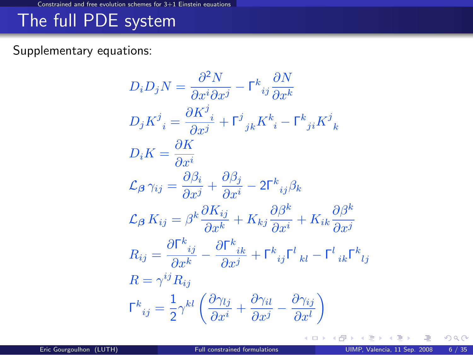# The full PDE system

#### Supplementary equations:

$$
D_i D_j N = \frac{\partial^2 N}{\partial x^i \partial x^j} - \Gamma^k_{ij} \frac{\partial N}{\partial x^k}
$$
  
\n
$$
D_j K^j_i = \frac{\partial K^j_i}{\partial x^j} + \Gamma^j_{jk} K^k_i - \Gamma^k_{ji} K^j_k
$$
  
\n
$$
D_i K = \frac{\partial K}{\partial x^i}
$$
  
\n
$$
\mathcal{L}_{\beta} \gamma_{ij} = \frac{\partial \beta_i}{\partial x^j} + \frac{\partial \beta_j}{\partial x^i} - 2\Gamma^k_{ij} \beta_k
$$
  
\n
$$
\mathcal{L}_{\beta} K_{ij} = \beta^k \frac{\partial K_{ij}}{\partial x^k} + K_{kj} \frac{\partial \beta^k}{\partial x^i} + K_{ik} \frac{\partial \beta^k}{\partial x^j}
$$
  
\n
$$
R_{ij} = \frac{\partial \Gamma^k_{ij}}{\partial x^k} - \frac{\partial \Gamma^k_{ik}}{\partial x^j} + \Gamma^k_{ij} \Gamma^l_{kl} - \Gamma^l_{ik} \Gamma^k_{lj}
$$
  
\n
$$
R = \gamma^{ij} R_{ij}
$$
  
\n
$$
\Gamma^k_{ij} = \frac{1}{2} \gamma^{kl} \left( \frac{\partial \gamma_{lj}}{\partial x^i} + \frac{\partial \gamma_{il}}{\partial x^j} - \frac{\partial \gamma_{ij}}{\partial x^l} \right)
$$

Ξ

メロト メ都 トメ ミトメ

 $299$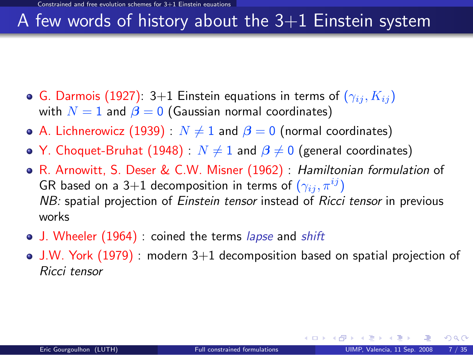# A few words of history about the  $3+1$  Einstein system

- **G.** Darmois (1927): 3+1 Einstein equations in terms of  $(\gamma_{ij}, K_{ij})$ with  $N = 1$  and  $\beta = 0$  (Gaussian normal coordinates)
- A. Lichnerowicz (1939) :  $N \neq 1$  and  $\beta = 0$  (normal coordinates)
- Y. Choquet-Bruhat (1948) :  $N \neq 1$  and  $\beta \neq 0$  (general coordinates)
- R. Arnowitt, S. Deser & C.W. Misner (1962) : Hamiltonian formulation of GR based on a 3+1 decomposition in terms of  $(\gamma_{ii}, \pi^{ij})$ NB: spatial projection of Einstein tensor instead of Ricci tensor in previous works
- J. Wheeler (1964) : coined the terms *lapse* and *shift*
- $\bullet$  J.W. York (1979) : modern  $3+1$  decomposition based on spatial projection of Ricci tensor

 $\Omega$ 

イロト イ押 トイヨ トイヨ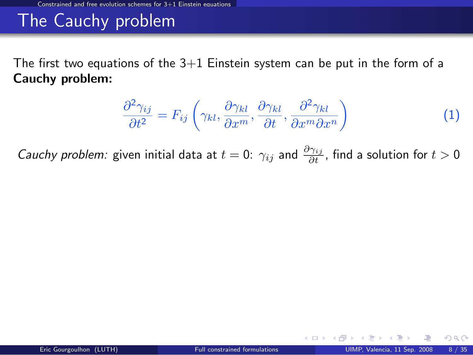# The Cauchy problem

The first two equations of the  $3+1$  Einstein system can be put in the form of a Cauchy problem:

$$
\frac{\partial^2 \gamma_{ij}}{\partial t^2} = F_{ij} \left( \gamma_{kl}, \frac{\partial \gamma_{kl}}{\partial x^m}, \frac{\partial \gamma_{kl}}{\partial t}, \frac{\partial^2 \gamma_{kl}}{\partial x^m \partial x^n} \right)
$$
(1)

*Cauchy problem:* given initial data at  $t=0$ :  $\gamma_{ij}$  and  $\frac{\partial \gamma_{ij}}{\partial t}$ , find a solution for  $t>0$ 

 $\Omega$ 

<span id="page-7-0"></span>**K ロ ト イ ト**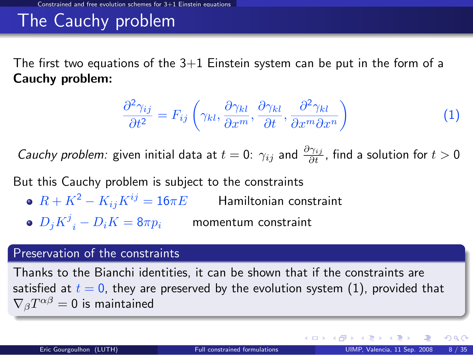# The Cauchy problem

The first two equations of the  $3+1$  Einstein system can be put in the form of a Cauchy problem:

$$
\frac{\partial^2 \gamma_{ij}}{\partial t^2} = F_{ij} \left( \gamma_{kl}, \frac{\partial \gamma_{kl}}{\partial x^m}, \frac{\partial \gamma_{kl}}{\partial t}, \frac{\partial^2 \gamma_{kl}}{\partial x^m \partial x^n} \right)
$$
(1)

*Cauchy problem:* given initial data at  $t=0$ :  $\gamma_{ij}$  and  $\frac{\partial \gamma_{ij}}{\partial t}$ , find a solution for  $t>0$ 

But this Cauchy problem is subject to the constraints

- $R + K^2 K_{ij}K^{ij} = 16\pi E$  Hamiltonian constraint
- $D_j K^j\mathstrut_i D_i K = 8\pi p_i$  momentum constraint

#### Preservation of the constraints

Thanks to the Bianchi identities, it can be shown that if the constraints are satisfied at  $t = 0$ , they are preserved by the evolution system [\(1\)](#page-7-0), provided that  $\nabla_{\beta} T^{\alpha \beta} = 0$  is maintained

 $\Omega$ 

**K ロ ト K 何 ト K ヨ ト K**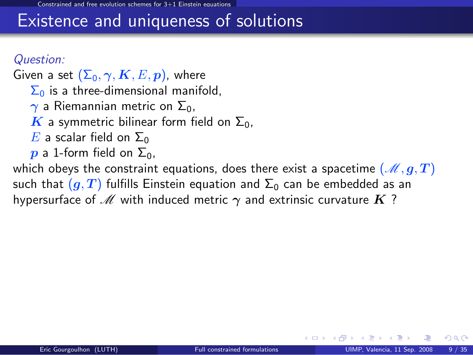## Existence and uniqueness of solutions

#### Question:

Given a set  $(\Sigma_0, \gamma, K, E, p)$ , where  $\Sigma_0$  is a three-dimensional manifold,  $γ$  a Riemannian metric on  $Σ<sub>0</sub>$ , K a symmetric bilinear form field on  $\Sigma_0$ , E a scalar field on  $\Sigma_0$  $\boldsymbol{p}$  a 1-form field on  $\Sigma_0$ , which obeys the constraint equations, does there exist a spacetime  $(\mathscr{M}, g, T)$ such that  $(g, T)$  fulfills Einstein equation and  $\Sigma_0$  can be embedded as an

hypersurface of M with induced metric  $\gamma$  and extrinsic curvature K?

 $\Omega$ 

∢ □ ▶ к 何 ▶ к ∃ ▶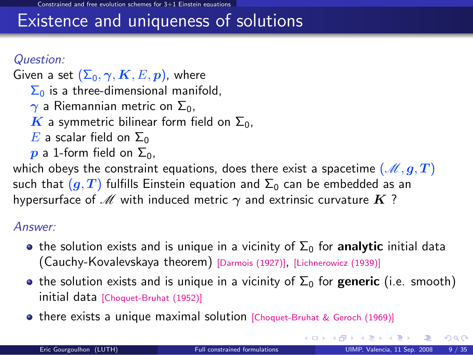## Existence and uniqueness of solutions

#### Question:

Given a set  $(\Sigma_0, \gamma, K, E, p)$ , where  $\Sigma_0$  is a three-dimensional manifold,  $γ$  a Riemannian metric on  $Σ<sub>0</sub>$ , K a symmetric bilinear form field on  $\Sigma_0$ , E a scalar field on  $\Sigma_0$  $\boldsymbol{p}$  a 1-form field on  $\Sigma_0$ ,

which obeys the constraint equations, does there exist a spacetime  $(\mathscr{M}, g, T)$ such that  $(g, T)$  fulfills Einstein equation and  $\Sigma_0$  can be embedded as an hypersurface of M with induced metric  $\gamma$  and extrinsic curvature K?

#### Answer:

- **•** the solution exists and is unique in a vicinity of  $\Sigma_0$  for **analytic** initial data (Cauchy-Kovalevskaya theorem) [\[Darmois \(1927\)\]](#page-0-1), [\[Lichnerowicz \(1939\)\]](#page-0-1)
- the solution exists and is unique in a vicinity of  $\Sigma_0$  for generic (i.e. smooth) initial data [\[Choquet-Bruhat \(1952\)\]](#page-0-1)
- **•** there exists a unique maximal solution [\[Choquet-Bruhat & Geroch \(1969\)\]](#page-0-1)

<span id="page-10-0"></span> $\Omega$ 

メロメ メタメ メミメ メミ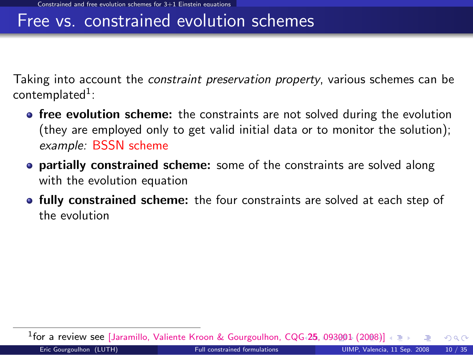### Free vs. constrained evolution schemes

Taking into account the *constraint preservation property*, various schemes can be  $\mathsf{content}^1$ :

- **free evolution scheme:** the constraints are not solved during the evolution (they are employed only to get valid initial data or to monitor the solution); example: BSSN scheme
- **partially constrained scheme:** some of the constraints are solved along with the evolution equation
- **fully constrained scheme:** the four constraints are solved at each step of the evolution

<span id="page-11-0"></span><sup>1</sup>for a review see [\[Jaramillo, Valiente Kroon & Gourgoulhon, CQG](htpp://stacks.iop.org/CQG/25/093001)+[2](#page-10-0)5[, 0](#page-12-0)[93](#page-10-0)[0](#page-2-0)0[1](#page-13-0) [\(2](#page-1-0)0[08](#page-14-0)[\)\]](#page-15-0)  $\Omega$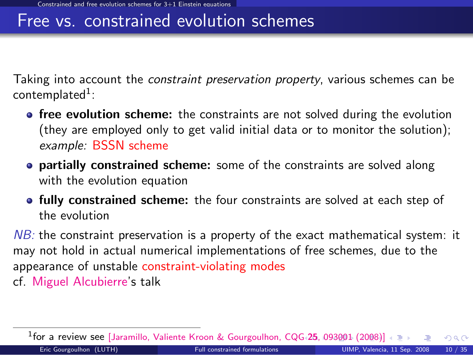### Free vs. constrained evolution schemes

Taking into account the *constraint preservation property*, various schemes can be  $\mathsf{content}^1$ :

- **free evolution scheme:** the constraints are not solved during the evolution (they are employed only to get valid initial data or to monitor the solution); example: BSSN scheme
- **partially constrained scheme:** some of the constraints are solved along with the evolution equation
- **fully constrained scheme:** the four constraints are solved at each step of the evolution

 $NB$ : the constraint preservation is a property of the exact mathematical system: it may not hold in actual numerical implementations of free schemes, due to the appearance of unstable constraint-violating modes cf. Miguel Alcubierre's talk

<span id="page-12-0"></span><sup>&</sup>lt;sup>1</sup>for a review see [\[Jaramillo, Valiente Kroon & Gourgoulhon, CQG](htpp://stacks.iop.org/CQG/25/093001)+[2](#page-11-0)5[, 0](#page-13-0)[93](#page-10-0)[0](#page-2-0)0[1](#page-13-0) [\(2](#page-1-0)0[08](#page-14-0)[\)\]](#page-15-0)  $\Omega$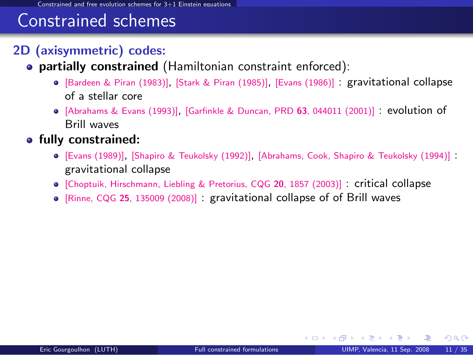## Constrained schemes

#### 2D (axisymmetric) codes:

- **partially constrained** (Hamiltonian constraint enforced):
	- [\[Bardeen & Piran \(1983\)\]](#page-0-1), [\[Stark & Piran \(1985\)\]](#page-0-1), [\[Evans \(1986\)\]](#page-0-1) : gravitational collapse of a stellar core
	- [\[Abrahams & Evans \(1993\)\]](#page-0-1), [\[Garfinkle & Duncan, PRD](http://link.aps.org/abstract/PRD/v63/e044011) 63, 044011 (2001)] : evolution of Brill waves
- **o** fully constrained:
	- [\[Evans \(1989\)\]](#page-0-1), [\[Shapiro & Teukolsky \(1992\)\]](#page-0-1), [\[Abrahams, Cook, Shapiro & Teukolsky \(1994\)\]](#page-0-1) : gravitational collapse
	- [\[Choptuik, Hirschmann, Liebling & Pretorius, CQG](#page-0-1) 20, 1857 (2003)] : critical collapse
	- [Rinne, CQG 25[, 135009 \(2008\)\]](#page-0-1) : gravitational collapse of of Brill waves

<span id="page-13-0"></span> $\Omega$ 

**←ロ ▶ ← イ 同 →**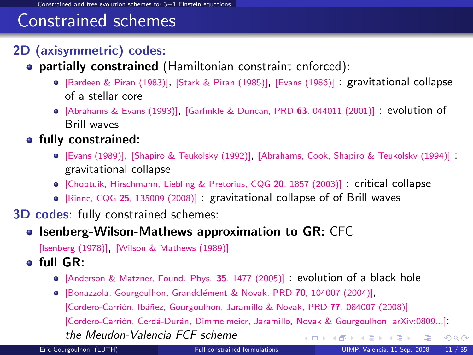# Constrained schemes

#### 2D (axisymmetric) codes:

- **partially constrained** (Hamiltonian constraint enforced):
	- [\[Bardeen & Piran \(1983\)\]](#page-0-1), [\[Stark & Piran \(1985\)\]](#page-0-1), [\[Evans \(1986\)\]](#page-0-1) : gravitational collapse of a stellar core
	- [\[Abrahams & Evans \(1993\)\]](#page-0-1), [\[Garfinkle & Duncan, PRD](http://link.aps.org/abstract/PRD/v63/e044011) 63, 044011 (2001)] : evolution of Brill waves
- **o** fully constrained:
	- [\[Evans \(1989\)\]](#page-0-1), [\[Shapiro & Teukolsky \(1992\)\]](#page-0-1), [\[Abrahams, Cook, Shapiro & Teukolsky \(1994\)\]](#page-0-1) : gravitational collapse
	- [\[Choptuik, Hirschmann, Liebling & Pretorius, CQG](#page-0-1) 20, 1857 (2003)] : critical collapse
	- [Rinne, CQG 25[, 135009 \(2008\)\]](#page-0-1) : gravitational collapse of of Brill waves
- 3D codes: fully constrained schemes:
	- **Isenberg-Wilson-Mathews approximation to GR: CFC**

<span id="page-14-0"></span>[\[Isenberg \(1978\)\]](#page-0-1), [\[Wilson & Mathews \(1989\)\]](#page-0-1)

- full GR:
	- [\[Anderson & Matzner, Found. Phys.](#page-0-1) 35, 1477 (2005)] : evolution of a black hole
	- [Bonazzola, Gourgoulhon, Grandclément & Novak, PRD 70, 104007 (2004)], [Cordero-Carrión, Ibáñez, Gourgoulhon, Jaramillo & Novak, PRD 77, 084007 (2008)] [Cordero-Carrión, Cerdá-Durán, Dimmelmeier, Jaramillo, Novak & Gourgoulhon, arXiv:0809...]: the Meudon-Valencia FCF scheme  $QQ$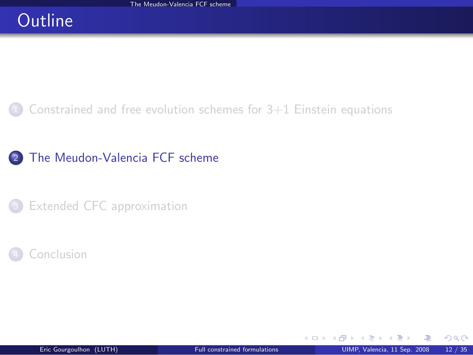## **Outline**



#### 2 [The Meudon-Valencia FCF scheme](#page-15-0)

[Extended CFC approximation](#page-29-0)



**← ロ ▶ → イ 同** 

<span id="page-15-0"></span> $299$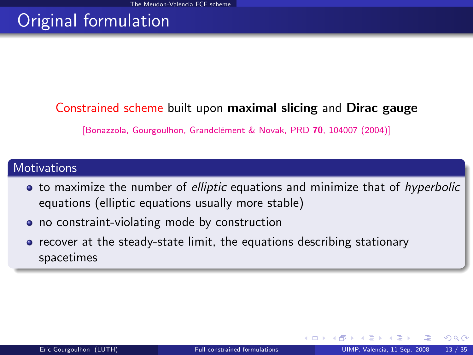# Original formulation

#### Constrained scheme built upon maximal slicing and Dirac gauge

[Bonazzola, Gourgoulhon, Grandclément & Novak, PRD 70, 104007 (2004)]

#### **Motivations**

- to maximize the number of *elliptic* equations and minimize that of hyperbolic equations (elliptic equations usually more stable)
- no constraint-violating mode by construction
- recover at the steady-state limit, the equations describing stationary spacetimes

 $\Omega$ 

**←ロ ▶ ← イ 同 →**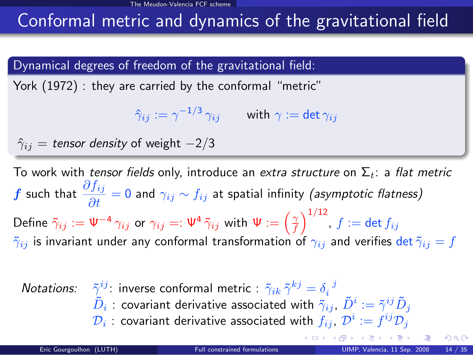## Conformal metric and dynamics of the gravitational field

#### Dynamical degrees of freedom of the gravitational field:

York (1972) : they are carried by the conformal "metric"

$$
\hat{\gamma}_{ij}:=\gamma^{-1/3}\,\gamma_{ij}\qquad\text{ with }\gamma:=\det\gamma_{ij}
$$

$$
\hat{\gamma}_{ij} = \text{tensor density of weight } -2/3
$$

To work with tensor fields only, introduce an extra structure on  $\Sigma_t$ : a flat metric  $\displaystyle f$  such that  $\displaystyle\frac{\partial f_{ij}}{\partial t}=0$  and  $\gamma_{ij}\sim f_{ij}$  at spatial infinity (*asymptotic flatness)* Define  $\tilde \gamma_{ij}:=\Psi^{-4}\,\gamma_{ij}$  or  $\gamma_{ij}=:\Psi^{4}\,\tilde \gamma_{ij}$  with  $\Psi:=\left(\frac{\gamma}{f}\right)^{1/12}$ ,  $f:=\det f_{ij}$  $\tilde{\gamma}_{ij}$  is invariant under any conformal transformation of  $\gamma_{ij}$  and verifies det  $\tilde{\gamma}_{ij} = f$ 

| Notations:                                                                                                                   | $\tilde{\gamma}^{ij}$ : inverse conformal metric : $\tilde{\gamma}_{ik}\tilde{\gamma}^{kj} = \delta_i{}^j$ |
|------------------------------------------------------------------------------------------------------------------------------|------------------------------------------------------------------------------------------------------------|
| $\tilde{D}_i$ : covariant derivative associated with $\tilde{\gamma}_{ij}$ , $\tilde{D}^i := \tilde{\gamma}^{ij}\tilde{D}_j$ |                                                                                                            |
| $\mathcal{D}_i$ : covariant derivative associated with $f_{ij}$ , $\mathcal{D}^i := f^{ij}\mathcal{D}_j$                     |                                                                                                            |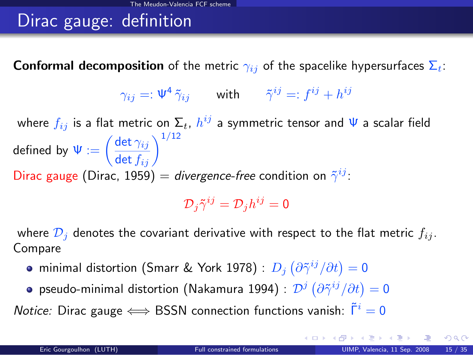# Dirac gauge: definition

**Conformal decomposition** of the metric  $\gamma_{ij}$  of the spacelike hypersurfaces  $\Sigma_t$ :

$$
\gamma_{ij} =: \Psi^4 \, \tilde{\gamma}_{ij} \qquad \text{with} \qquad \tilde{\gamma}^{ij} =: f^{ij} + h^{ij}
$$

where  $f_{ij}$  is a flat metric on  $\Sigma_t$ ,  $h^{ij}$  a symmetric tensor and  $\Psi$  a scalar field  $\text{\sf defined by } \Psi := \left(\frac{\det \gamma_{ij}}{\det f_{ij}}\right)^{1/12}$ Dirac gauge (Dirac, 1959) = divergence-free condition on  $\tilde{\gamma}^{ij}$ :

 $\mathcal{D}_{j} \tilde{\gamma}^{ij} = \mathcal{D}_{j} h^{ij} = 0$ 

where  $\mathcal{D}_i$  denotes the covariant derivative with respect to the flat metric  $f_{ij}$ . Compare

- minimal distortion (Smarr & York 1978) :  $D_j\left(\partial\tilde{\gamma}^{ij}/\partial t\right)=0$
- pseudo-minimal distortion (Nakamura 1994) :  $\mathcal{D}^{j}\left(\partial\tilde{\gamma}^{ij}/\partial t\right)=0$

*Notice:* Dirac gauge  $\iff$  BSSN connection functions vanish:  $\ddot{\Gamma}^i = 0$ 

 $\Omega$ 

メロト メ何 トメ ヨ トメ ヨ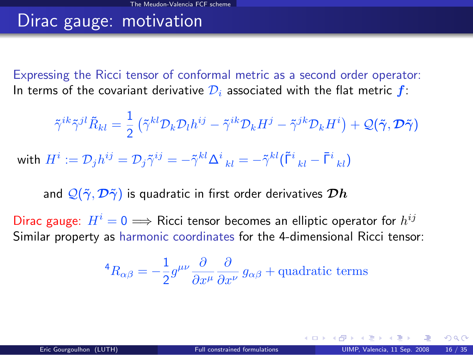# Dirac gauge: motivation

Expressing the Ricci tensor of conformal metric as a second order operator: In terms of the covariant derivative  $\mathcal{D}_i$  associated with the flat metric  $\mathbf{f}$ :

$$
\tilde{\gamma}^{ik}\tilde{\gamma}^{jl}\tilde{R}_{kl} = \frac{1}{2} \left( \tilde{\gamma}^{kl} \mathcal{D}_k \mathcal{D}_l h^{ij} - \tilde{\gamma}^{ik} \mathcal{D}_k H^j - \tilde{\gamma}^{jk} \mathcal{D}_k H^i \right) + \mathcal{Q}(\tilde{\gamma}, \mathcal{D}\tilde{\gamma})
$$
\nwith

\n
$$
H^i := \mathcal{D}_j h^{ij} = \mathcal{D}_j \tilde{\gamma}^{ij} = -\tilde{\gamma}^{kl} \Delta^i_{\;kl} = -\tilde{\gamma}^{kl} \left( \tilde{\Gamma}^i_{\;kl} - \bar{\Gamma}^i_{\;kl} \right)
$$

and  $\mathcal{Q}(\tilde{\gamma}, \mathcal{D}\tilde{\gamma})$  is quadratic in first order derivatives  $\mathcal{D}h$ 

Dirac gauge:  $H^i = 0 \Longrightarrow$  Ricci tensor becomes an elliptic operator for  $h^{ij}$ Similar property as harmonic coordinates for the 4-dimensional Ricci tensor:

<sup>4</sup>
$$
R_{\alpha\beta} = -\frac{1}{2}g^{\mu\nu}\frac{\partial}{\partial x^{\mu}}\frac{\partial}{\partial x^{\nu}}g_{\alpha\beta}
$$
 + quadratic terms

 $\Omega$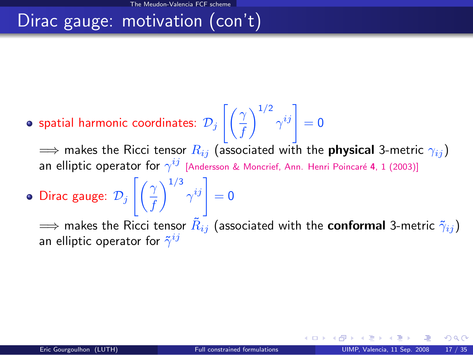# Dirac gauge: motivation (con't)

spatial harmonic coordinates:  $\mathcal{D}_j\left[\left(\frac{\gamma}{f}\right)\right]$ f  $\left.\begin{matrix} 1/2\ \gamma^{ij} \end{matrix} \right]=0$ 

 $\implies$  makes the Ricci tensor  $R_{ij}$  (associated with the **physical** 3-metric  $\gamma_{ij}$ ) an elliptic operator for  $\gamma^{ij}$  [Andersson & Moncrief, Ann. Henri Poincaré 4, 1 (2003)]

Dirac gauge:  $\mathcal{D}_j$   $\Bigl[ \Bigl( \frac{\gamma}{f} \Bigr)$ f  $\left.\begin{aligned} \left.\begin{matrix} 1/3\ \end{matrix}\right|^{ij} \end{aligned} \right|=0$ 

 $\implies$  makes the Ricci tensor  $\tilde R_{ij}$  (associated with the  ${\sf conformal}$  3-metric  $\tilde \gamma_{ij})$ an elliptic operator for  $\tilde{\gamma}^{ij}$ 

4 0 3 4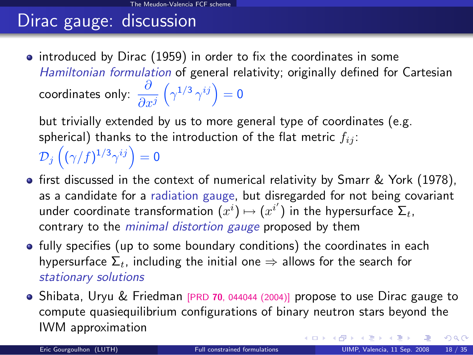# Dirac gauge: discussion

 $\bullet$  introduced by Dirac (1959) in order to fix the coordinates in some Hamiltonian formulation of general relativity; originally defined for Cartesian coordinates only:  $\frac{\partial}{\partial x^j}$  $\left(\gamma^{1/3}\,\gamma^{ij}\right)=0$ 

but trivially extended by us to more general type of coordinates (e.g. spherical) thanks to the introduction of the flat metric  $f_{ij}$ :  $\mathcal{D}_j\left((\gamma/f)^{1/3}\gamma^{ij}\right)=0$ 

• first discussed in the context of numerical relativity by Smarr & York (1978), as a candidate for a radiation gauge, but disregarded for not being covariant under coordinate transformation 
$$
(x^i) \mapsto (x^{i'})
$$
 in the hypersurface  $\Sigma_t$ , contrary to the minimal distortion gauge proposed by them

- fully specifies (up to some boundary conditions) the coordinates in each hypersurface  $\Sigma_t$ , including the initial one  $\Rightarrow$  allows for the search for stationary solutions
- Shibata, Uryu & Friedman [PRD 70[, 044044 \(2004\)\]](http://link.aps.org/abstract/PRD/v70/e044044) propose to use Dirac gauge to compute quasiequilibrium configurations of binary neutron stars beyond the IWM approximation メロト メ御 トメ きょ メきょ  $QQ$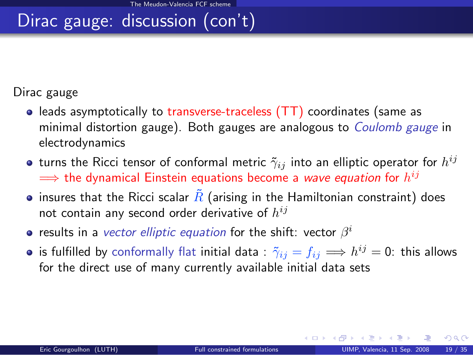# Dirac gauge: discussion (con't)

Dirac gauge

- leads asymptotically to transverse-traceless (TT) coordinates (same as minimal distortion gauge). Both gauges are analogous to Coulomb gauge in electrodynamics
- turns the Ricci tensor of conformal metric  $\tilde{\gamma}_{ij}$  into an elliptic operator for  $h^{ij}$  $\implies$  the dynamical Einstein equations become a *wave equation* for  $h^{ij}$
- **•** insures that the Ricci scalar  $\hat{R}$  (arising in the Hamiltonian constraint) does not contain any second order derivative of  $h^{ij}$
- results in a vector elliptic equation for the shift: vector  $\beta^i$
- is fulfilled by conformally flat initial data :  $\tilde \gamma_{ij} = f_{ij} \Longrightarrow h^{ij} = 0$ : this allows for the direct use of many currently available initial data sets

 $\Omega$ 

メロト メ都 トメ ミトメ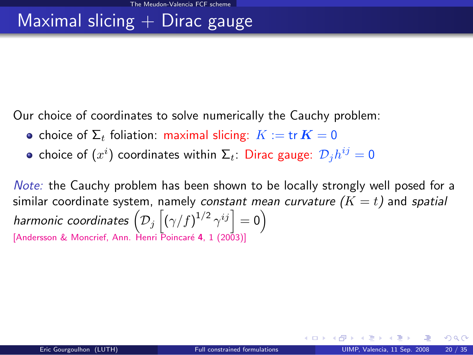# Maximal slicing  $+$  Dirac gauge

Our choice of coordinates to solve numerically the Cauchy problem:

- choice of  $\Sigma_t$  foliation: maximal slicing:  $K := \text{tr } K = 0$
- choice of  $(x^i)$  coordinates within  $\Sigma_t$ : Dirac gauge:  $\mathcal{D}_jh^{ij}=0$

Note: the Cauchy problem has been shown to be locally strongly well posed for a similar coordinate system, namely constant mean curvature  $(K = t)$  and spatial harmonic coordinates  $\left( \mathcal{D}_j \left[ (\gamma/f)^{1/2} \, \gamma^{ij} \right] = 0 \right)$ [Andersson & Moncrief, Ann. Henri Poincaré 4, 1 (2003)]

**K ロ ト K 何 ト K ヨ ト**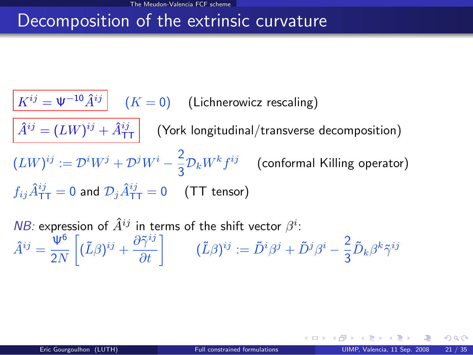## Decomposition of the extrinsic curvature

 $\left| K^{ij} = \Psi^{-10} \hat{A}^{ij} \right|$   $(K = 0)$  (Lichnerowicz rescaling)  $\hat{A}^{ij} = (LW)^{ij} + \hat{A}^{ij}_{\textsf{TT}} \big\vert \quad \text{(York longitudinal/transverse decomposition)}$  $(LW)^{ij} := \mathcal{D}^i W^j + \mathcal{D}^j W^i - \frac{2}{3}$  $\frac{2}{3}\mathcal{D}_k W^k f^{ij}$  (conformal Killing operator)  $f_{ij}\hat{A}^{ij}_{\mathsf{TT}} = 0$  and  $\mathcal{D}_j\hat{A}^{ij}_{\mathsf{TT}} = 0$   $\quad$  (TT tensor)

NB: expression of  $\hat{A}^{ij}$  in terms of the shift vector  $\beta^i$ :  $\hat{A}^{ij} = \frac{\Psi^6}{2N}$ 2N  $\left[ (\tilde{L}\beta)^{ij} + \frac{\partial \tilde{\gamma}^{ij}}{\partial t} \right] \qquad (\tilde{L}\beta)^{ij} := \tilde{D}^i \beta^j + \tilde{D}^j \beta^i - \frac{2}{3}$  $\frac{2}{3}\tilde{D}_{k}\beta^{k}\tilde{\gamma}^{ij}$ 

 $\Omega$ 

K ロ > K @ > K 경 > K 경 > 시 경 +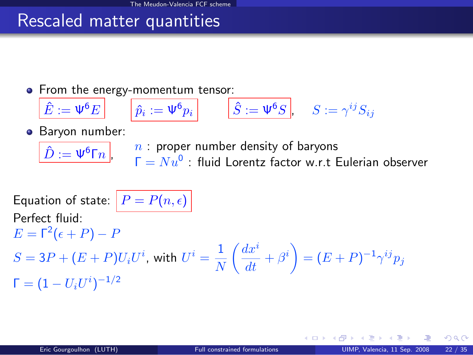## Rescaled matter quantities

• From the energy-momentum tensor:

$$
\hat{E} := \Psi^6 E \qquad \hat{p}_i := \Psi^6 p_i \qquad \hat{S} := \Psi^6 S \qquad S := \gamma^{ij} S_{ij}
$$

**Baryon number:**  $\hat{D}:=\Psi^6\mathsf{\Gamma} n\,\big\vert$ ,

 $n:$  proper number density of baryons

 $\mathsf{\Gamma}=Nu^{\mathsf{0}}$  : fluid Lorentz factor w.r.t Eulerian observer

Equation of state: 
$$
P = P(n, \epsilon)
$$
  
Perfect fluid:  

$$
E = \Gamma^2(\epsilon + P) - P
$$
  

$$
S = 3P + (E + P)U_iU^i
$$
, with  $U^i = \frac{1}{N} \left( \frac{dx^i}{dt} + \beta^i \right) = (E + P)^{-1} \gamma^{ij} p_j$   

$$
\Gamma = (1 - U_i U^i)^{-1/2}
$$

 $\Omega$ 

**←ロ ▶ ← イ 同 →**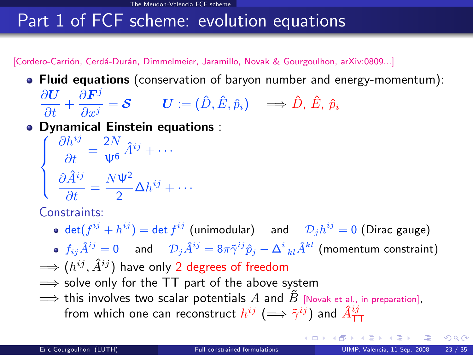## Part 1 of FCF scheme: evolution equations

[Cordero-Carrión, Cerdá-Durán, Dimmelmeier, Jaramillo, Novak & Gourgoulhon, arXiv:0809...]

• Fluid equations (conservation of baryon number and energy-momentum):

$$
\frac{\partial \boldsymbol{U}}{\partial t} + \frac{\partial \boldsymbol{F}^j}{\partial x^j} = \boldsymbol{\mathcal{S}} \qquad \boldsymbol{U} := (\hat{D}, \hat{E}, \hat{p}_i) \quad \Longrightarrow \hat{D}, \ \hat{E}, \ \hat{p}_i
$$

Dynamical Einstein equations :<br>  $\int$   $\partial h^{ij}$  2N  $_{3ij}$ 

$$
\begin{cases}\n\frac{\partial h^{ij}}{\partial t} = \frac{2N}{\Psi^6} \hat{A}^{ij} + \cdots \\
\frac{\partial \hat{A}^{ij}}{\partial t} = \frac{N \Psi^2}{2} \Delta h^{ij} + \cdots\n\end{cases}
$$

Constraints:

- $\det (f^{ij}+h^{ij})=\det f^{ij}$  (unimodular)  $\quad$  and  $\quad \mathcal{D}_jh^{ij}=0$  (Dirac gauge)
- $f_{ij}\hat{A}^{ij}=0$  and  ${\cal D}_j\hat{A}^{ij}=8\pi{\tilde{\gamma}}^{ij}\hat{p}_j-{\Delta^i}_{kl}\hat{A}^{kl}$  (momentum constraint)
- $\Longrightarrow$   $(h^{ij}, \hat{A}^{ij})$  have only 2 degrees of freedom
- $\implies$  solve only for the TT part of the above system
- <span id="page-26-0"></span> $\implies$  this involves two scalar potentials  $A$  and  $B$  [\[Novak et al., in preparation\]](#page-0-1), from which one can reconstruct  $h^{ij} \; (\Longrightarrow \tilde{\gamma}^{i\bar{j}})$  and  $\hat{A}^{ij}_{\texttt{TT}}$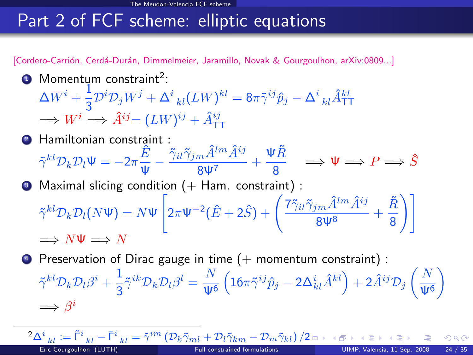## Part 2 of FCF scheme: elliptic equations

[Cordero-Carrión, Cerdá-Durán, Dimmelmeier, Jaramillo, Novak & Gourgoulhon, arXiv:0809...]

- **1** Momentum constraint<sup>2</sup>:  $\Delta W^i + \frac{1}{2}$  $\frac{1}{3}\mathcal{D}^i\mathcal{D}_jW^j+\Delta^i\mathstrut_{kl}(LW)^{kl}=8\pi\tilde{\gamma}^{ij}\hat{p}_j-\Delta^i\mathstrut_{kl}\hat{A}^{kl}_{\mathsf{TT}}$  $\Longrightarrow W^i \Longrightarrow \hat{A}^{ij} = (LW)^{ij} + \hat{A}^{ij}_{TT}$
- **2** Hamiltonian constraint :  $\tilde{\gamma}^{kl} \mathcal{D}_k \mathcal{D}_l \Psi = -2\pi \frac{\hat{E}}{\Psi}$  $\frac{\hat{E}}{\Psi} - \frac{\tilde{\gamma}_{il}\tilde{\gamma}_{jm}\hat{A}^{lm}\hat{A}^{ij}}{8\mathsf{\Psi}^7}$  $\frac{m \hat{A}^{lm} \hat{A}^{ij}}{8 \Psi^7} + \frac{\Psi \tilde{R}}{8}$  $\frac{\partial^2 u}{\partial \theta} \implies \Psi \Longrightarrow P \Longrightarrow \hat{S}$  $\bullet$  Maximal slicing condition (+ Ham. constraint) :  $\tilde{\gamma}^{kl} \mathcal{D}_k \mathcal{D}_l (N \Psi) = N \Psi$  $\lceil$  $\Big(2\pi \Psi^{-2}(\hat E+2\hat S) + \Bigg(\frac{7\tilde\gamma_{il}\tilde\gamma_{jm}\hat A^{lm}\hat A^{ij}}{2\pi\hat\Phi^{lm}A^{lm}}\Bigg)$  $\frac{1}{8}\frac{\hat{A}^{lm}\hat{A}^{ij}}{8}+\frac{\tilde{R}}{8}$ 8 \]  $\implies N \Psi \implies N$
- $\bullet$  Preservation of Dirac gauge in time  $(+)$  momentum constraint) :  $\tilde{\gamma}^{kl} \mathcal{D}_k \mathcal{D}_l \beta^i + \frac{1}{2}$  $\frac{1}{3}\tilde{\gamma}^{ik}\mathcal{D}_k\mathcal{D}_l\beta^l=\frac{N}{\Psi^0}$ Ψ<sup>6</sup>  $\left(16\pi\tilde{\gamma}^{ij}\hat{p}_j-2\Delta_{kl}^i\hat{A}^{kl}\right)+2\hat{A}^{ij}\mathcal{D}_j\left(\frac{N}{100}\right)$ Ψ<sup>6</sup> λ  $\Longrightarrow \beta^i$

 ${}^{2}\Delta^{i}{}_{kl}:=\tilde{\mathsf{\Gamma}}^{i}{}_{kl}-\bar{\mathsf{\Gamma}}^{i}{}_{kl}=\tilde{\gamma}^{im}\left(\mathcal{D}_{k}\tilde{\gamma}_{ml}+\mathcal{D}_{l}\tilde{\gamma}_{km}-\mathcal{D}_{m}\tilde{\gamma}_{kl}\right)/2$  ${}^{2}\Delta^{i}{}_{kl}:=\tilde{\mathsf{\Gamma}}^{i}{}_{kl}-\bar{\mathsf{\Gamma}}^{i}{}_{kl}=\tilde{\gamma}^{im}\left(\mathcal{D}_{k}\tilde{\gamma}_{ml}+\mathcal{D}_{l}\tilde{\gamma}_{km}-\mathcal{D}_{m}\tilde{\gamma}_{kl}\right)/2$  ${}^{2}\Delta^{i}{}_{kl}:=\tilde{\mathsf{\Gamma}}^{i}{}_{kl}-\bar{\mathsf{\Gamma}}^{i}{}_{kl}=\tilde{\gamma}^{im}\left(\mathcal{D}_{k}\tilde{\gamma}_{ml}+\mathcal{D}_{l}\tilde{\gamma}_{km}-\mathcal{D}_{m}\tilde{\gamma}_{kl}\right)/2$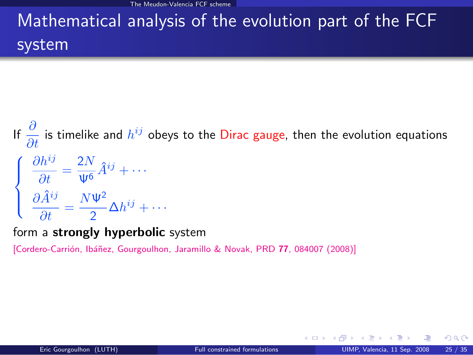The Meudon-Valencia FCF scheme

# Mathematical analysis of the evolution part of the FCF system

If  $\frac{\partial}{\partial t}$  is timelike and  $h^{ij}$  obeys to the Dirac gauge, then the evolution equations  $\sqrt{ }$  $\int$  $\mathcal{L}$  $\partial h^{ij}$  $\frac{\partial h^{ij}}{\partial t} = \frac{2N}{\Psi^6}$  $\frac{2N}{\Psi^6} \hat{A}^{ij} + \cdots$  $\partial \hat{A}^{ij}$  $\frac{dt}{dt}$  =  $N\Psi^2$  $\frac{1}{2} \Delta h^{ij} + \cdots$ 

form a strongly hyperbolic system

<span id="page-28-0"></span>[Cordero-Carrión, Ibáñez, Gourgoulhon, Jaramillo & Novak, PRD 77, 084007 (2008)]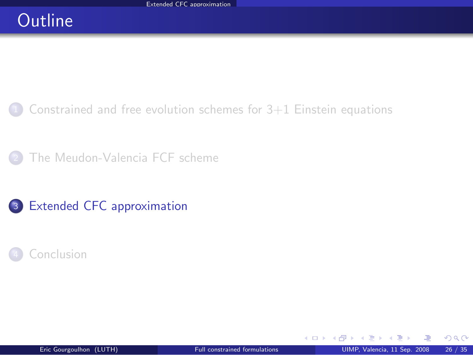# **Outline**

- <sup>1</sup> [Constrained and free evolution schemes for 3+1 Einstein equations](#page-2-0)
	- [The Meudon-Valencia FCF scheme](#page-15-0)
- <sup>3</sup> [Extended CFC approximation](#page-29-0)
- **[Conclusion](#page-44-0)**

**← ロ ▶ → イ 同** 

<span id="page-29-0"></span> $QQ$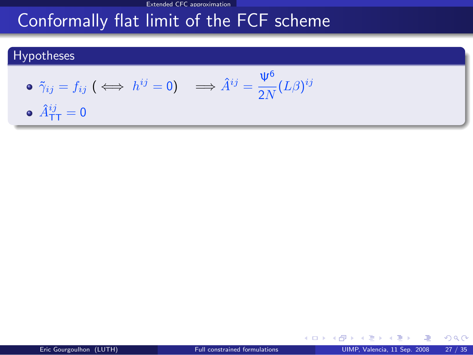## Conformally flat limit of the FCF scheme

#### Hypotheses

\n- \n
$$
\delta_{ij} = f_{ij} \quad (\iff h^{ij} = 0) \quad \Longrightarrow \hat{A}^{ij} = \frac{\Psi^6}{2N} (L\beta)^{ij}
$$
\n
\n- \n
$$
\hat{A}^{ij}_{TT} = 0
$$
\n
\n

亳

<span id="page-30-0"></span> $299$ 

K ロ ▶ K 御 ▶ K 君 ▶ K 君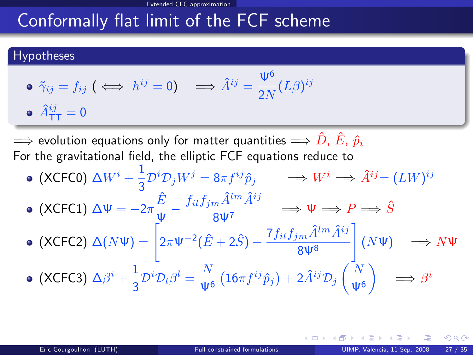# Conformally flat limit of the FCF scheme

#### Hypotheses

\n- \n
$$
\tilde{\gamma}_{ij} = f_{ij} \quad (\iff h^{ij} = 0) \quad \implies \hat{A}^{ij} = \frac{\Psi^6}{2N} (L\beta)^{ij}
$$
\n
\n- \n
$$
\hat{A}^{ij}_{TT} = 0
$$
\n
\n

 $\implies$  evolution equations only for matter quantities  $\implies \hat{D}$ ,  $\hat{E}$ ,  $\hat{p}_i$ For the gravitational field, the elliptic FCF equations reduce to

 $(XCFCO) \Delta W^i + \frac{1}{2} \mathcal{D}^i \mathcal{D}_j W^j = 8\pi f^{ij} \hat{p}_j \longrightarrow W^i \Longrightarrow \hat{A}^{ij} = (LW)^{ij}$ 3  $(XCFC1) \Delta \Psi = -2\pi \frac{\hat{E}}{W}$  $\frac{\hat{E}}{\Psi} - \frac{f_{il}f_{jm}\hat{A}^{lm}\hat{A}^{ij}}{8\mathfrak{\Psi}^7}$  $\frac{m^{A} A^{B}}{8 \Psi^{7}} \Rightarrow \Psi \Longrightarrow P \Longrightarrow \hat{S}$  $(XCFC2) Δ(NΨ) = \left[2πΨ<sup>-2</sup>(E + 2S) + \frac{7f_{il}f_{jm}\hat{A}^{lm}\hat{A}^{ij}}{8Ψ<sup>8</sup>}\right]$ 1  $(N\Psi) \quad \Longrightarrow N\Psi$ (XCFC3)  $\Delta \beta^i + \frac{1}{2}$  $\frac{1}{3} \mathcal{D}^i \mathcal{D}_l \beta^l = \frac{N}{\Psi^0}$  $\frac{N}{\Psi^6}\left(16\pi f^{ij}\hat{p}_j\right)+2\hat{A}^{ij}{\cal D}_j\left(\frac{N}{\Psi^6}\right)$ Ψ<sup>6</sup>  $\Big) \Rightarrow \beta^i$ 

<span id="page-31-0"></span> $\Omega$ 

イロト イ押 トイヨ トイヨ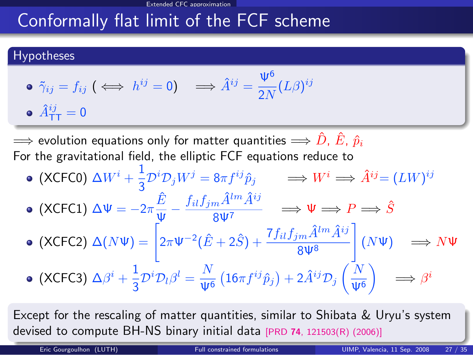# Conformally flat limit of the FCF scheme

#### Hypotheses

\n- \n
$$
\tilde{\gamma}_{ij} = f_{ij} \quad (\iff h^{ij} = 0) \quad \implies \hat{A}^{ij} = \frac{\Psi^6}{2N} (L\beta)^{ij}
$$
\n
\n- \n
$$
\hat{A}^{ij}_{TT} = 0
$$
\n
\n

 $\implies$  evolution equations only for matter quantities  $\implies \hat{D}$ ,  $\hat{E}$ ,  $\hat{p}_i$ For the gravitational field, the elliptic FCF equations reduce to

(XCFC0)  $\Delta W^i + \frac{1}{2}$  $\frac{1}{3} \mathcal{D}^i \mathcal{D}_j W^j = 8 \pi f^{ij} \hat{p}_j \qquad \Longrightarrow W^i \Longrightarrow \hat{A}^{ij} = (L W)^{ij}$  $(XCFC1) \Delta \Psi = -2\pi \frac{\hat{E}}{W}$  $\frac{\hat{E}}{\Psi} - \frac{f_{il}f_{jm}\hat{A}^{lm}\hat{A}^{ij}}{8\mathfrak{\Psi}^7}$  $\frac{m^{A} A^{B}}{8 \Psi^{7}} \Rightarrow \Psi \Longrightarrow P \Longrightarrow \hat{S}$  $(XCFC2) Δ(NΨ) = \left[2πΨ<sup>-2</sup>(E + 2S) + \frac{7f_{il}f_{jm}\hat{A}^{lm}\hat{A}^{ij}}{8Ψ<sup>8</sup>}\right]$ 1  $(N\Psi) \quad \Longrightarrow N\Psi$ (XCFC3)  $\Delta \beta^i + \frac{1}{2}$  $\frac{1}{3} \mathcal{D}^i \mathcal{D}_l \beta^l = \frac{N}{\Psi^0}$  $\frac{N}{\Psi^6}\left(16\pi f^{ij}\hat{p}_j\right)+2\hat{A}^{ij}{\cal D}_j\left(\frac{N}{\Psi^6}\right)$ Ψ<sup>6</sup>  $\Big) \Rightarrow \beta^i$ 

Except for the rescaling of matter quantities, similar to Shibata & Uryu's system devised to compute BH-NS binary initial data [PRD <sup>74</sup>[, 121503\(R\) \(2006\)\]](#page-0-1)

<span id="page-32-0"></span>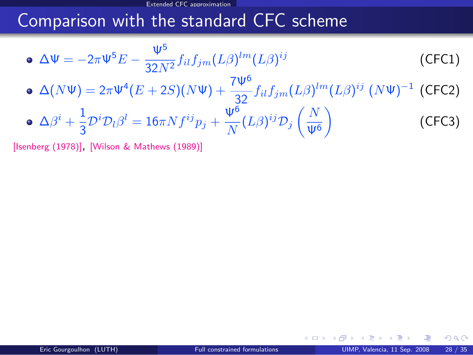## Comparison with the standard CFC scheme

• 
$$
\Delta \Psi = -2\pi \Psi^5 E - \frac{\Psi^5}{32N^2} f_{il} f_{jm} (L\beta)^{lm} (L\beta)^{ij}
$$
 (CFC1)  
\n•  $\Delta(N\Psi) = 2\pi \Psi^4 (E + 2S)(N\Psi) + \frac{7\Psi^6}{32} f_{il} f_{jm} (L\beta)^{lm} (L\beta)^{ij} (N\Psi)^{-1}$  (CFC2)  
\n•  $\Delta \beta^i + \frac{1}{3} D^i D_l \beta^l = 16\pi N f^{ij} p_j + \frac{\Psi^6}{N} (L\beta)^{ij} D_j \left(\frac{N}{\Psi^6}\right)$  (CFC3)

[\[Isenberg \(1978\)\]](#page-0-1), [\[Wilson & Mathews \(1989\)\]](#page-0-1)

<span id="page-33-0"></span> $299$ 

4. 0. 3. 4.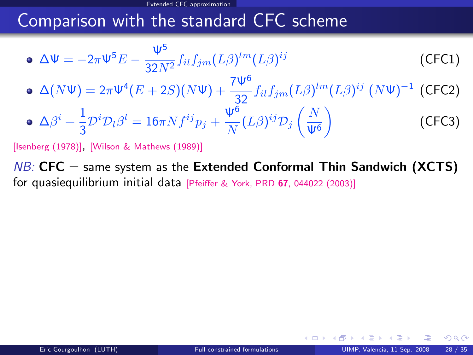## Comparison with the standard CFC scheme

• 
$$
\Delta \Psi = -2\pi \Psi^5 E - \frac{\Psi^5}{32N^2} f_{il} f_{jm} (L\beta)^{lm} (L\beta)^{ij}
$$
 (CFC1)  
\n•  $\Delta (N\Psi) = 2\pi \Psi^4 (E + 2S)(N\Psi) + \frac{7\Psi^6}{32} f_{il} f_{jm} (L\beta)^{lm} (L\beta)^{ij} (N\Psi)^{-1}$  (CFC2)  
\n•  $\Delta \beta^i + \frac{1}{3} \mathcal{D}^i \mathcal{D}_l \beta^l = 16\pi N f^{ij} p_j + \frac{\Psi^6}{N} (L\beta)^{ij} \mathcal{D}_j \left(\frac{N}{\Psi^6}\right)$  (CFC3)

[\[Isenberg \(1978\)\]](#page-0-1), [\[Wilson & Mathews \(1989\)\]](#page-0-1)

 $NB:$  CFC  $=$  same system as the Extended Conformal Thin Sandwich (XCTS) for quasiequilibrium initial data [\[Pfeiffer & York, PRD](#page-0-1) <sup>67</sup>, 044022 (2003)]

 $\Omega$ 

4. 0. 3. 4.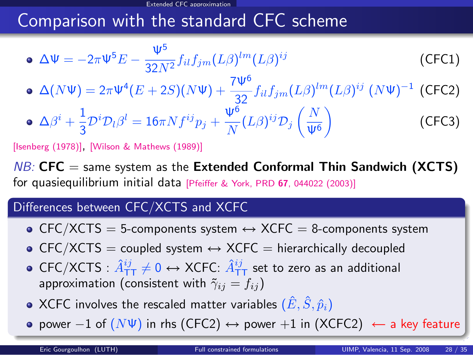## Comparison with the standard CFC scheme

$$
\bullet \ \Delta \Psi = -2\pi \Psi^5 E - \frac{\Psi^5}{32N^2} f_{il} f_{jm} (L\beta)^{lm} (L\beta)^{ij} \tag{CFC1}
$$

 $\Delta(N\Psi) = 2\pi \Psi^4 (E+2S)(N\Psi) + \frac{7\Psi^6}{3^2} f_{il} f_{jm} (L\beta)^{lm} (L\beta)^{ij} (N\Psi)^{-1}$  (CFC2)

• 
$$
\Delta \beta^i + \frac{1}{3} \mathcal{D}^i \mathcal{D}_l \beta^l = 16 \pi N f^{ij} p_j + \frac{\Psi^6}{N} (L \beta)^{ij} \mathcal{D}_j \left( \frac{N}{\Psi^6} \right)
$$
 (CFC3)

[\[Isenberg \(1978\)\]](#page-0-1), [\[Wilson & Mathews \(1989\)\]](#page-0-1)

 $NB:$  CFC  $=$  same system as the Extended Conformal Thin Sandwich (XCTS) for quasiequilibrium initial data [\[Pfeiffer & York, PRD](#page-0-1) <sup>67</sup>, 044022 (2003)]

#### Differences between CFC/XCTS and XCFC

- CFC/XCTS = 5-components system  $\leftrightarrow$  XCFC = 8-components system
- $\bullet$  CFC/XCTS = coupled system  $\leftrightarrow$  XCFC = hierarchically decoupled
- <code>CFC/XCTS</code> :  $\hat A_{\mathsf{T}\mathsf{T}}^{ij} \neq 0 \leftrightarrow \mathsf{XCFC}\text{:}~ \hat A_{\mathsf{T}\mathsf{T}}^{ij}$  set to zero as an additional approximation (consistent with  $\tilde{\gamma}_{ij} = f_{ij}$ )
- $\bullet$  XCFC involves the rescaled matter variables  $(\hat{E}, \hat{S}, \hat{p}_i)$
- power  $-1$  of  $(N\Psi)$  in rhs (CFC2)  $\leftrightarrow$  power  $+1$  in (XCFC2)  $\leftarrow$  a key feature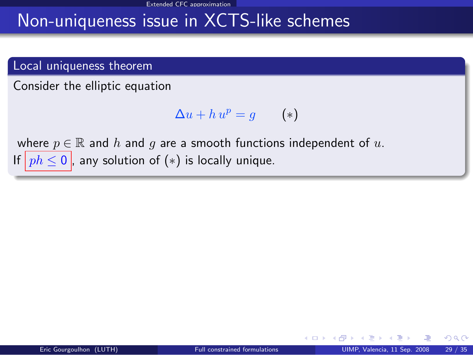## Non-uniqueness issue in XCTS-like schemes

#### Local uniqueness theorem

Consider the elliptic equation

$$
\Delta u + h u^p = g \qquad (*)
$$

where  $p \in \mathbb{R}$  and h and g are a smooth functions independent of u. If  $ph \leq 0$ , any solution of  $(*)$  is locally unique.

 $\Omega$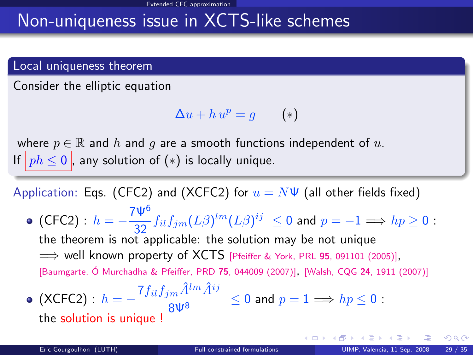## Non-uniqueness issue in XCTS-like schemes

#### Local uniqueness theorem

Consider the elliptic equation

$$
\Delta u + h u^p = g \qquad (*)
$$

where  $p \in \mathbb{R}$  and h and q are a smooth functions independent of u. If  $ph \leq 0$ , any solution of  $(*)$  is locally unique.

Application: Eqs. (CFC2) and (XCFC2) for  $u = N\Psi$  (all other fields fixed)

 $(CFC2): h = -\frac{7\Psi^6}{32}$  $\frac{\Phi}{32} f_{il} f_{jm} (L\beta)^{lm} (L\beta)^{ij} \leq 0$  and  $p = -1 \Longrightarrow hp \geq 0$ : the theorem is not applicable: the solution may be not unique  $\implies$  well known property of XCTS [\[Pfeiffer & York, PRL](#page-0-1) 95, 091101 (2005)]. [Baumgarte, Ó Murchadha & Pfeiffer, PRD 75, 044009 (2007)], [Walsh, CQG 24[, 1911 \(2007\)\]](#page-0-1)

• (XCFC2): 
$$
h = -\frac{7f_{il}f_{jm}\hat{A}^{lm}\hat{A}^{ij}}{8\Psi^8} \le 0 \text{ and } p = 1 \Longrightarrow hp \le 0:
$$
the solution is unique !

イロト イ押ト イヨト イ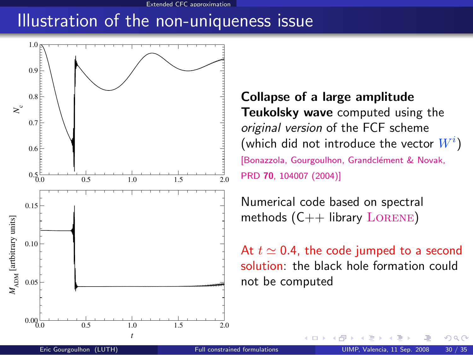#### Illustration of the non-uniqueness issue



Collapse of a large amplitude Teukolsky wave computed using the original version of the FCF scheme (which did not introduce the vector  $W^i)$ [Bonazzola, Gourgoulhon, Grandclément & Novak, PRD 70[, 104007 \(2004\)\]](http://link.aps.org/abstract/PRD/v70/e104007)

Numerical code based on spectral methods  $(C++$  library LORENE)

4 **D** F

At  $t \approx 0.4$ , the code jumped to a second solution: the black hole formation could not be computed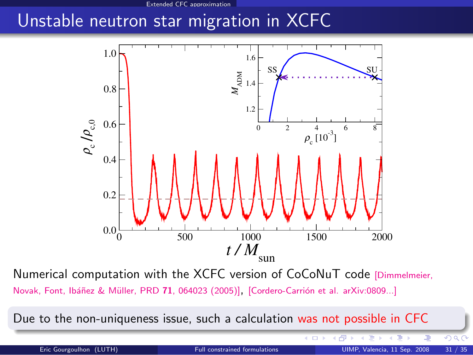## Unstable neutron star migration in XCFC



Numerical computation with the XCFC version of CoCoNuT code [\[Dimmelmeier,](#page-0-1) Novak, Font, Ibáñez & Müller, PRD 71, 064023 (2005)], [Cordero-Carrión et al. arXiv:0809...]

Due to the non-uniqueness issue, such a calculation was not possible in CFC

Eric Gourgoulhon (LUTH) [Full constrained formulations](#page-0-0) UIMP, Valencia, 11 Sep. 2008 31 / 35

モロト

 $\Omega$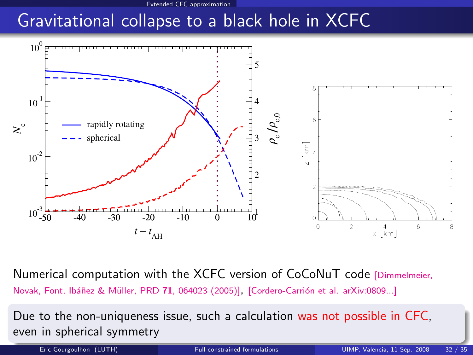## Gravitational collapse to a black hole in XCFC



Numerical computation with the XCFC version of CoCoNuT code [\[Dimmelmeier,](#page-0-1)

Novak, Font, Ibáñez & Müller, PRD 71, 064023 (2005)], [Cordero-Carrión et al. arXiv:0809...]

Due to the non-uniqueness issue, such a calculation was not possible in CFC, even in spherical symmetry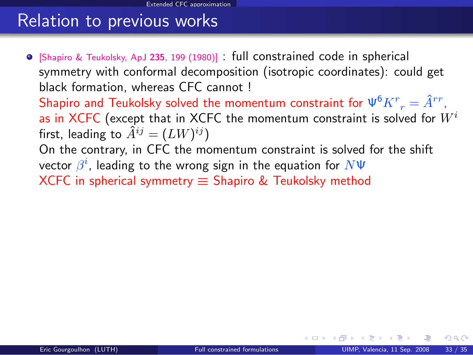## Relation to previous works

[\[Shapiro & Teukolsky, ApJ](#page-0-1) <sup>235</sup>, 199 (1980)] : full constrained code in spherical symmetry with conformal decomposition (isotropic coordinates): could get black formation, whereas CFC cannot ! Shapiro and Teukolsky solved the momentum constraint for  $\Psi^{6} K^{r}_{\;\;r}=\hat{A}^{rr}$ , as in XCFC (except that in XCFC the momentum constraint is solved for  $W^i$ first, leading to  $\hat A^{ij} = (LW)^{ij})$ On the contrary, in CFC the momentum constraint is solved for the shift vector  $\beta^i$ , leading to the wrong sign in the equation for  $N\Psi$ XCFC in spherical symmetry  $\equiv$  Shapiro & Teukolsky method

 $\Omega$ 

**K ロ ▶ K 何 ▶ K**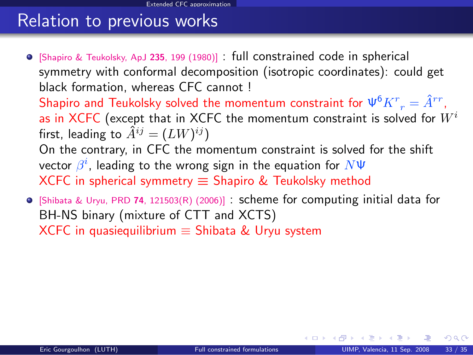## Relation to previous works

[\[Shapiro & Teukolsky, ApJ](#page-0-1) <sup>235</sup>, 199 (1980)] : full constrained code in spherical symmetry with conformal decomposition (isotropic coordinates): could get black formation, whereas CFC cannot !

Shapiro and Teukolsky solved the momentum constraint for  $\Psi^{6} K^{r}_{\;\;r}=\hat{A}^{rr}$ , as in XCFC (except that in XCFC the momentum constraint is solved for  $W^i$ first, leading to  $\hat A^{ij} = (LW)^{ij})$ 

On the contrary, in CFC the momentum constraint is solved for the shift vector  $\beta^i$ , leading to the wrong sign in the equation for  $N\Psi$ XCFC in spherical symmetry  $\equiv$  Shapiro & Teukolsky method

[\[Shibata & Uryu, PRD](#page-0-1) <sup>74</sup>, 121503(R) (2006)] : scheme for computing initial data for BH-NS binary (mixture of CTT and XCTS) XCFC in quasiequilibrium  $\equiv$  Shibata & Uryu system

 $\Omega$ 

メロト メ何 トメ ミト メミト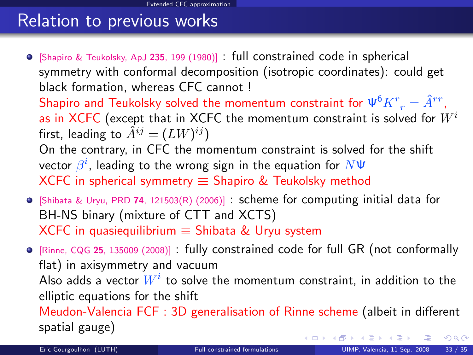## Relation to previous works

[\[Shapiro & Teukolsky, ApJ](#page-0-1) <sup>235</sup>, 199 (1980)] : full constrained code in spherical symmetry with conformal decomposition (isotropic coordinates): could get black formation, whereas CFC cannot !

Shapiro and Teukolsky solved the momentum constraint for  $\Psi^{6} K^{r}_{\;\;r}=\hat{A}^{rr}$ , as in XCFC (except that in XCFC the momentum constraint is solved for  $W^i$ first, leading to  $\hat A^{ij} = (LW)^{ij})$ 

On the contrary, in CFC the momentum constraint is solved for the shift vector  $\beta^i$ , leading to the wrong sign in the equation for  $N\Psi$ XCFC in spherical symmetry  $\equiv$  Shapiro & Teukolsky method

[\[Shibata & Uryu, PRD](#page-0-1) <sup>74</sup>, 121503(R) (2006)] : scheme for computing initial data for BH-NS binary (mixture of CTT and XCTS) XCFC in quasiequilibrium  $\equiv$  Shibata & Uryu system

<span id="page-43-0"></span>[Rinne, CQG <sup>25</sup>[, 135009 \(2008\)\]](#page-0-1) : fully constrained code for full GR (not conformally flat) in axisymmetry and vacuum Also adds a vector  $W^i$  to solve the momentum constraint, in addition to the elliptic equations for the shift Meudon-Valencia FCF : 3D generalisation of Rinne scheme (albeit in different spatial gauge) **K ロ X K 個 X K 差 X K 差 X**  $299$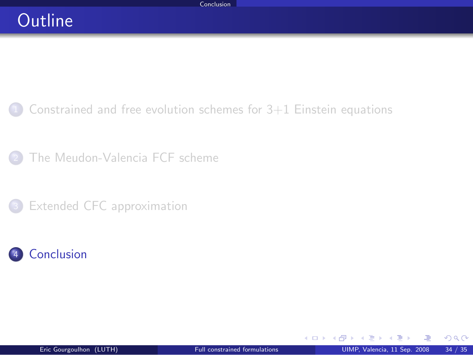

[The Meudon-Valencia FCF scheme](#page-15-0)

[Extended CFC approximation](#page-29-0)



**← ロ ▶ → イ 同** 

<span id="page-44-0"></span> $299$